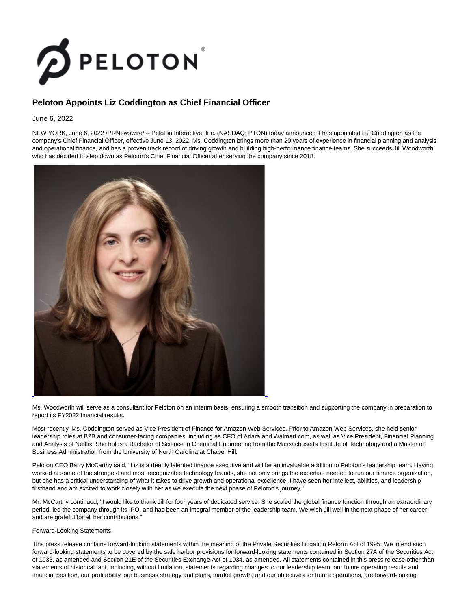

## **Peloton Appoints Liz Coddington as Chief Financial Officer**

June 6, 2022

NEW YORK, June 6, 2022 /PRNewswire/ -- Peloton Interactive, Inc. (NASDAQ: PTON) today announced it has appointed Liz Coddington as the company's Chief Financial Officer, effective June 13, 2022. Ms. Coddington brings more than 20 years of experience in financial planning and analysis and operational finance, and has a proven track record of driving growth and building high-performance finance teams. She succeeds Jill Woodworth, who has decided to step down as Peloton's Chief Financial Officer after serving the company since 2018.



Ms. Woodworth will serve as a consultant for Peloton on an interim basis, ensuring a smooth transition and supporting the company in preparation to report its FY2022 financial results.

Most recently, Ms. Coddington served as Vice President of Finance for Amazon Web Services. Prior to Amazon Web Services, she held senior leadership roles at B2B and consumer-facing companies, including as CFO of Adara and Walmart.com, as well as Vice President, Financial Planning and Analysis of Netflix. She holds a Bachelor of Science in Chemical Engineering from the Massachusetts Institute of Technology and a Master of Business Administration from the University of North Carolina at Chapel Hill.

Peloton CEO Barry McCarthy said, "Liz is a deeply talented finance executive and will be an invaluable addition to Peloton's leadership team. Having worked at some of the strongest and most recognizable technology brands, she not only brings the expertise needed to run our finance organization, but she has a critical understanding of what it takes to drive growth and operational excellence. I have seen her intellect, abilities, and leadership firsthand and am excited to work closely with her as we execute the next phase of Peloton's journey."

Mr. McCarthy continued, "I would like to thank Jill for four years of dedicated service. She scaled the global finance function through an extraordinary period, led the company through its IPO, and has been an integral member of the leadership team. We wish Jill well in the next phase of her career and are grateful for all her contributions."

## Forward-Looking Statements

This press release contains forward-looking statements within the meaning of the Private Securities Litigation Reform Act of 1995. We intend such forward-looking statements to be covered by the safe harbor provisions for forward-looking statements contained in Section 27A of the Securities Act of 1933, as amended and Section 21E of the Securities Exchange Act of 1934, as amended. All statements contained in this press release other than statements of historical fact, including, without limitation, statements regarding changes to our leadership team, our future operating results and financial position, our profitability, our business strategy and plans, market growth, and our objectives for future operations, are forward-looking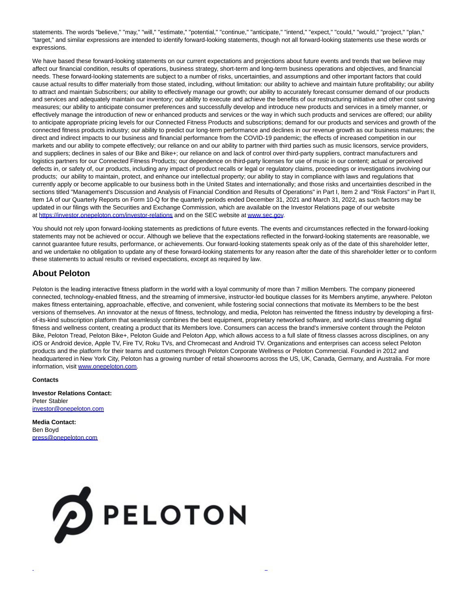statements. The words "believe," "may," "will," "estimate," "potential," "continue," "anticipate," "intend," "expect," "could," "would," "project," "plan," "target," and similar expressions are intended to identify forward-looking statements, though not all forward-looking statements use these words or expressions.

We have based these forward-looking statements on our current expectations and projections about future events and trends that we believe may affect our financial condition, results of operations, business strategy, short-term and long-term business operations and objectives, and financial needs. These forward-looking statements are subject to a number of risks, uncertainties, and assumptions and other important factors that could cause actual results to differ materially from those stated, including, without limitation: our ability to achieve and maintain future profitability; our ability to attract and maintain Subscribers; our ability to effectively manage our growth; our ability to accurately forecast consumer demand of our products and services and adequately maintain our inventory; our ability to execute and achieve the benefits of our restructuring initiative and other cost saving measures; our ability to anticipate consumer preferences and successfully develop and introduce new products and services in a timely manner, or effectively manage the introduction of new or enhanced products and services or the way in which such products and services are offered; our ability to anticipate appropriate pricing levels for our Connected Fitness Products and subscriptions; demand for our products and services and growth of the connected fitness products industry; our ability to predict our long-term performance and declines in our revenue growth as our business matures; the direct and indirect impacts to our business and financial performance from the COVID-19 pandemic; the effects of increased competition in our markets and our ability to compete effectively; our reliance on and our ability to partner with third parties such as music licensors, service providers, and suppliers; declines in sales of our Bike and Bike+; our reliance on and lack of control over third-party suppliers, contract manufacturers and logistics partners for our Connected Fitness Products; our dependence on third-party licenses for use of music in our content; actual or perceived defects in, or safety of, our products, including any impact of product recalls or legal or regulatory claims, proceedings or investigations involving our products; our ability to maintain, protect, and enhance our intellectual property; our ability to stay in compliance with laws and regulations that currently apply or become applicable to our business both in the United States and internationally; and those risks and uncertainties described in the sections titled "Management's Discussion and Analysis of Financial Condition and Results of Operations" in Part I, Item 2 and "Risk Factors" in Part II, Item 1A of our Quarterly Reports on Form 10-Q for the quarterly periods ended December 31, 2021 and March 31, 2022, as such factors may be updated in our filings with the Securities and Exchange Commission, which are available on the Investor Relations page of our website at [https://investor.onepeloton.com/investor-relations a](https://c212.net/c/link/?t=0&l=en&o=3558845-1&h=1198916886&u=https%3A%2F%2Fc212.net%2Fc%2Flink%2F%3Ft%3D0%26l%3Den%26o%3D3436833-1%26h%3D814020282%26u%3Dhttps%253A%252F%252Finvestor.onepeloton.com%252Finvestor-relations%26a%3Dhttps%253A%252F%252Finvestor.onepeloton.com%252Finvestor-relations&a=https%3A%2F%2Finvestor.onepeloton.com%2Finvestor-relations)nd on the SEC website a[t www.sec.gov.](https://c212.net/c/link/?t=0&l=en&o=3558845-1&h=2839492918&u=https%3A%2F%2Fc212.net%2Fc%2Flink%2F%3Ft%3D0%26l%3Den%26o%3D3436833-1%26h%3D1798280817%26u%3Dhttp%253A%252F%252Fwww.sec.gov%252F%26a%3Dwww.sec.gov&a=www.sec.gov)

You should not rely upon forward-looking statements as predictions of future events. The events and circumstances reflected in the forward-looking statements may not be achieved or occur. Although we believe that the expectations reflected in the forward-looking statements are reasonable, we cannot guarantee future results, performance, or achievements. Our forward-looking statements speak only as of the date of this shareholder letter, and we undertake no obligation to update any of these forward-looking statements for any reason after the date of this shareholder letter or to conform these statements to actual results or revised expectations, except as required by law.

## **About Peloton**

Peloton is the leading interactive fitness platform in the world with a loyal community of more than 7 million Members. The company pioneered connected, technology-enabled fitness, and the streaming of immersive, instructor-led boutique classes for its Members anytime, anywhere. Peloton makes fitness entertaining, approachable, effective, and convenient, while fostering social connections that motivate its Members to be the best versions of themselves. An innovator at the nexus of fitness, technology, and media, Peloton has reinvented the fitness industry by developing a firstof-its-kind subscription platform that seamlessly combines the best equipment, proprietary networked software, and world-class streaming digital fitness and wellness content, creating a product that its Members love. Consumers can access the brand's immersive content through the Peloton Bike, Peloton Tread, Peloton Bike+, Peloton Guide and Peloton App, which allows access to a full slate of fitness classes across disciplines, on any iOS or Android device, Apple TV, Fire TV, Roku TVs, and Chromecast and Android TV. Organizations and enterprises can access select Peloton products and the platform for their teams and customers through Peloton Corporate Wellness or Peloton Commercial. Founded in 2012 and headquartered in New York City, Peloton has a growing number of retail showrooms across the US, UK, Canada, Germany, and Australia. For more information, visit [www.onepeloton.com.](https://c212.net/c/link/?t=0&l=en&o=3558845-1&h=310465244&u=http%3A%2F%2Fwww.onepeloton.com%2F&a=www.onepeloton.com)

L

## **Contacts**

**Investor Relations Contact:** Peter Stabler [investor@onepeloton.com](mailto:investor@onepeloton.com)

**Media Contact:** Ben Boyd [press@onepeloton.com](mailto:press@onepeloton.com)